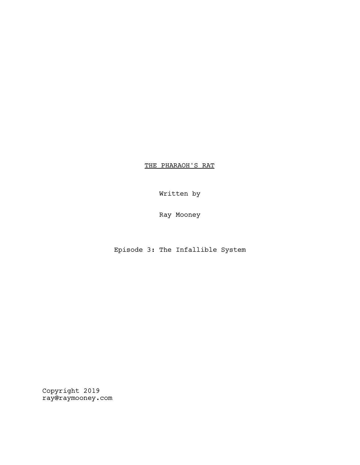THE PHARAOH'S RAT

Written by

Ray Mooney

Episode 3: The Infallible System

Copyright 2019 ray@raymooney.com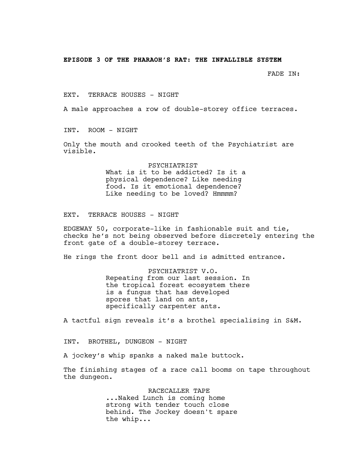# EPISODE 3 OF THE PHARAOH'S RAT: THE INFALLIBLE SYSTEM

FADE IN:

EXT. TERRACE HOUSES - NIGHT

A male approaches a row of double-storey office terraces.

INT. ROOM - NIGHT

Only the mouth and crooked teeth of the Psychiatrist are visible.

> PSYCHIATRIST What is it to be addicted? Is it a physical dependence? Like needing food. Is it emotional dependence? Like needing to be loved? Hmmmm?

EXT. TERRACE HOUSES - NIGHT

EDGEWAY 50, corporate-like in fashionable suit and tie, checks he's not being observed before discretely entering the front gate of a double-storey terrace.

He rings the front door bell and is admitted entrance.

PSYCHIATRIST V.O. Repeating from our last session. In the tropical forest ecosystem there is a fungus that has developed spores that land on ants, specifically carpenter ants.

A tactful sign reveals it's a brothel specialising in S&M.

INT. BROTHEL, DUNGEON - NIGHT

A jockey's whip spanks a naked male buttock.

The finishing stages of a race call booms on tape throughout the dungeon.

> RACECALLER TAPE ...Naked Lunch is coming home strong with tender touch close behind. The Jockey doesn't spare the whip...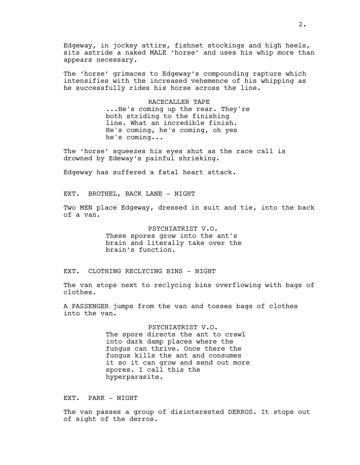Edgeway, in jockey attire, fishnet stockings and high heels, sits astride a naked MALE 'horse' and uses his whip more than appears necessary.

The 'horse' grimaces to Edgeway's compounding rapture which intensifies with the increased vehemence of his whipping as he successfully rides his horse across the line.

> RACECALLER TAPE ...He's coming up the rear. They're both striding to the finishing line. What an incredible finish. He's coming, he's coming, oh yes he's coming...

The 'horse' squeezes his eyes shut as the race call is drowned by Edeway's painful shrieking.

Edgeway has suffered a fatal heart attack.

EXT. BROTHEL, BACK LANE - NIGHT

Two MEN place Edgeway, dressed in suit and tie, into the back of a van.

> PSYCHIATRIST V.O. These spores grow into the ant's brain and literally take over the brain's function.

EXT. CLOTHING RECLYCING BINS - NIGHT

The van stops next to reclycing bins overflowing with bags of clothes.

A PASSENGER jumps from the van and tosses bags of clothes into the van.

> PSYCHIATRIST V.O. The spore directs the ant to crawl into dark damp places where the fungus can thrive. Once there the fungus kills the ant and consumes it so it can grow and send out more spores. I call this the hyperparasite.

EXT. PARK - NIGHT

The van passes a group of disinterested DERROS. It stops out of sight of the derros.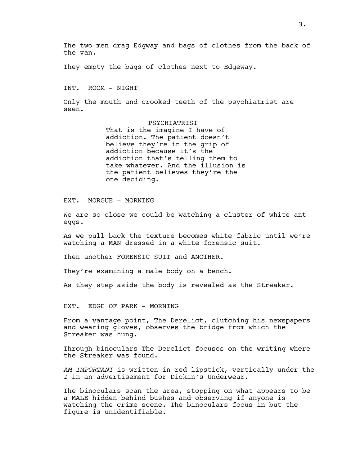The two men drag Edgway and bags of clothes from the back of the van.

They empty the bags of clothes next to Edgeway.

INT. ROOM - NIGHT

Only the mouth and crooked teeth of the psychiatrist are seen.

> PSYCHIATRIST That is the imagine I have of addiction. The patient doesn't believe they're in the grip of addiction because it's the addiction that's telling them to take whatever. And the illusion is the patient believes they're the one deciding.

EXT. MORGUE - MORNING

We are so close we could be watching a cluster of white ant eggs.

As we pull back the texture becomes white fabric until we're watching a MAN dressed in a white forensic suit.

Then another FORENSIC SUIT and ANOTHER.

They're examining a male body on a bench.

As they step aside the body is revealed as the Streaker.

EXT. EDGE OF PARK - MORNING

From a vantage point, The Derelict, clutching his newspapers and wearing gloves, observes the bridge from which the Streaker was hung.

Through binoculars The Derelict focuses on the writing where the Streaker was found.

AM IMPORTANT is written in red lipstick, vertically under the I in an advertisement for Dickin's Underwear.

The binoculars scan the area, stopping on what appears to be a MALE hidden behind bushes and observing if anyone is watching the crime scene. The binoculars focus in but the figure is unidentifiable.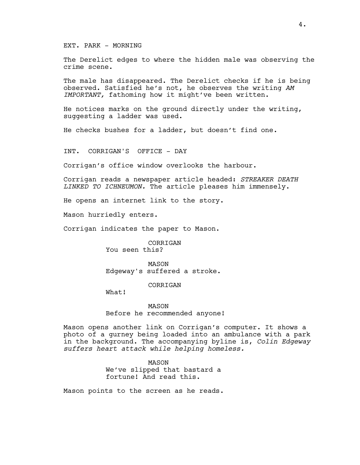EXT. PARK - MORNING

The Derelict edges to where the hidden male was observing the crime scene.

The male has disappeared. The Derelict checks if he is being observed. Satisfied he's not, he observes the writing AM IMPORTANT, fathoming how it might've been written.

He notices marks on the ground directly under the writing, suggesting a ladder was used.

He checks bushes for a ladder, but doesn't find one.

INT. CORRIGAN'S OFFICE - DAY

Corrigan's office window overlooks the harbour.

Corrigan reads a newspaper article headed: STREAKER DEATH LINKED TO ICHNEUMON. The article pleases him immensely.

He opens an internet link to the story.

Mason hurriedly enters.

Corrigan indicates the paper to Mason.

CORRIGAN You seen this?

MASON Edgeway's suffered a stroke.

CORRIGAN

What!

MASON Before he recommended anyone!

Mason opens another link on Corrigan's computer. It shows a photo of a gurney being loaded into an ambulance with a park in the background. The accompanying byline is, Colin Edgeway suffers heart attack while helping homeless.

> MASON We've slipped that bastard a fortune! And read this.

Mason points to the screen as he reads.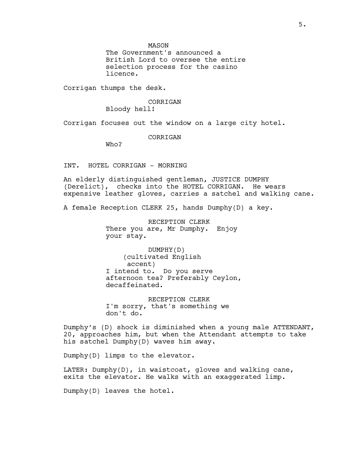MASON

The Government's announced a British Lord to oversee the entire selection process for the casino licence.

Corrigan thumps the desk.

#### CORRIGAN

Bloody hell!

Corrigan focuses out the window on a large city hotel.

**CORRIGAN** 

Who?

INT. HOTEL CORRIGAN - MORNING

An elderly distinguished gentleman, JUSTICE DUMPHY (Derelict), checks into the HOTEL CORRIGAN. He wears expensive leather gloves, carries a satchel and walking cane.

A female Reception CLERK 25, hands Dumphy(D) a key.

RECEPTION CLERK There you are, Mr Dumphy. Enjoy your stay.

DUMPHY(D) (cultivated English accent) I intend to. Do you serve afternoon tea? Preferably Ceylon, decaffeinated.

RECEPTION CLERK I'm sorry, that's something we don't do.

Dumphy's (D) shock is diminished when a young male ATTENDANT, 20, approaches him, but when the Attendant attempts to take his satchel Dumphy(D) waves him away.

Dumphy(D) limps to the elevator.

LATER: Dumphy(D), in waistcoat, gloves and walking cane, exits the elevator. He walks with an exaggerated limp.

Dumphy(D) leaves the hotel.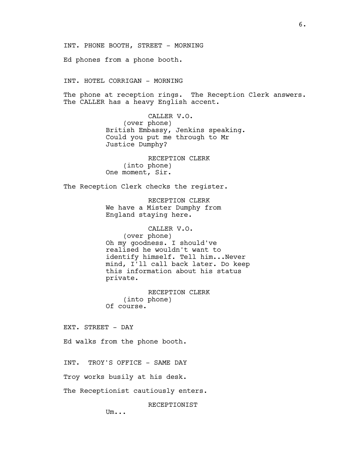Ed phones from a phone booth.

INT. HOTEL CORRIGAN - MORNING

The phone at reception rings. The Reception Clerk answers. The CALLER has a heavy English accent.

> CALLER V.O. (over phone) British Embassy, Jenkins speaking. Could you put me through to Mr Justice Dumphy?

RECEPTION CLERK (into phone) One moment, Sir.

The Reception Clerk checks the register.

RECEPTION CLERK We have a Mister Dumphy from England staying here.

CALLER V.O. (over phone) Oh my goodness. I should've realised he wouldn't want to identify himself. Tell him...Never mind, I'll call back later. Do keep this information about his status private.

RECEPTION CLERK (into phone) Of course.

EXT. STREET - DAY

Ed walks from the phone booth.

INT. TROY'S OFFICE - SAME DAY

Troy works busily at his desk.

The Receptionist cautiously enters.

RECEPTIONIST

Um...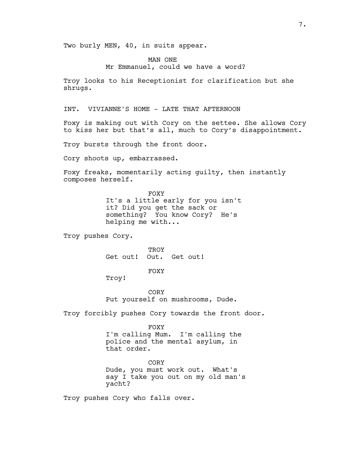Two burly MEN, 40, in suits appear.

# MAN ONE Mr Emmanuel, could we have a word?

Troy looks to his Receptionist for clarification but she shrugs.

INT. VIVIANNE'S HOME - LATE THAT AFTERNOON

Foxy is making out with Cory on the settee. She allows Cory to kiss her but that's all, much to Cory's disappointment.

Troy bursts through the front door.

Cory shoots up, embarrassed.

Foxy freaks, momentarily acting guilty, then instantly composes herself.

> FOXY It's a little early for you isn't it? Did you get the sack or something? You know Cory? He's helping me with...

Troy pushes Cory.

TROY Get out! Out. Get out!

FOXY

Troy!

**CORY** Put yourself on mushrooms, Dude.

Troy forcibly pushes Cory towards the front door.

FOXY I'm calling Mum. I'm calling the police and the mental asylum, in that order.

CORY Dude, you must work out. What's say I take you out on my old man's yacht?

Troy pushes Cory who falls over.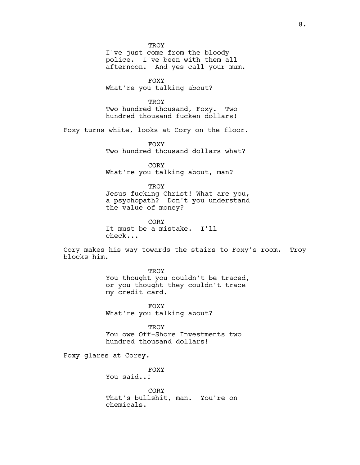**TROY** I've just come from the bloody police. I've been with them all afternoon. And yes call your mum.

FOXY What're you talking about?

**TROY** Two hundred thousand, Foxy. Two hundred thousand fucken dollars!

Foxy turns white, looks at Cory on the floor.

FOXY Two hundred thousand dollars what?

CORY What're you talking about, man?

**TROY** Jesus fucking Christ! What are you, a psychopath? Don't you understand the value of money?

CORY It must be a mistake. I'll check...

Cory makes his way towards the stairs to Foxy's room. Troy blocks him.

**TROY** 

You thought you couldn't be traced, or you thought they couldn't trace my credit card.

FOXY What're you talking about?

**TROY** You owe Off-Shore Investments two hundred thousand dollars!

Foxy glares at Corey.

**FOXY** You said..!

CORY That's bullshit, man. You're on chemicals.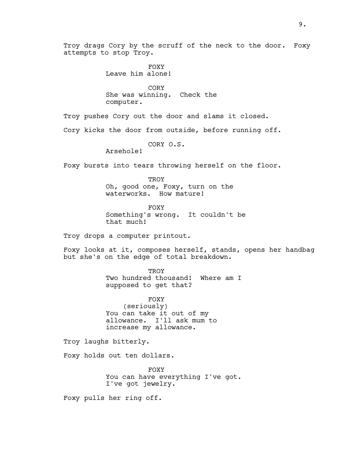9.

Troy drags Cory by the scruff of the neck to the door. Foxy attempts to stop Troy.

> **FOXY** Leave him alone!

CORY She was winning. Check the computer.

Troy pushes Cory out the door and slams it closed.

Cory kicks the door from outside, before running off.

CORY O.S.

Arsehole!

Foxy bursts into tears throwing herself on the floor.

**TROY** Oh, good one, Foxy, turn on the waterworks. How mature!

FOXY Something's wrong. It couldn't be that much!

Troy drops a computer printout.

Foxy looks at it, composes herself, stands, opens her handbag but she's on the edge of total breakdown.

> **TROY** Two hundred thousand! Where am I supposed to get that?

FOXY (seriously) You can take it out of my allowance. I'll ask mum to increase my allowance.

Troy laughs bitterly.

Foxy holds out ten dollars.

FOXY You can have everything I've got. I've got jewelry.

Foxy pulls her ring off.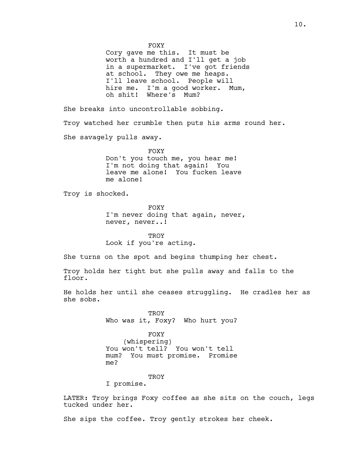FOXY Cory gave me this. It must be worth a hundred and I'll get a job in a supermarket. I've got friends at school. They owe me heaps. I'll leave school. People will hire me. I'm a good worker. Mum, oh shit! Where's Mum? She breaks into uncontrollable sobbing. Troy watched her crumble then puts his arms round her. She savagely pulls away. FOXY Don't you touch me, you hear me! I'm not doing that again! You leave me alone! You fucken leave me alone! Troy is shocked. FOXY I'm never doing that again, never, never, never..! **TROY** Look if you're acting. She turns on the spot and begins thumping her chest. Troy holds her tight but she pulls away and falls to the floor. He holds her until she ceases struggling. He cradles her as she sobs. **TROY** Who was it, Foxy? Who hurt you? FOXY (whispering) You won't tell? You won't tell mum? You must promise. Promise me? **TROY** I promise. LATER: Troy brings Foxy coffee as she sits on the couch, legs tucked under her.

She sips the coffee. Troy gently strokes her cheek.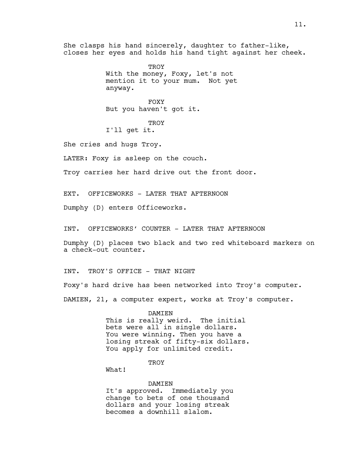She clasps his hand sincerely, daughter to father-like, closes her eyes and holds his hand tight against her cheek.

> **TROY** With the money, Foxy, let's not mention it to your mum. Not yet anyway.

FOXY But you haven't got it.

**TROY** I'll get it.

She cries and hugs Troy.

LATER: Foxy is asleep on the couch.

Troy carries her hard drive out the front door.

EXT. OFFICEWORKS - LATER THAT AFTERNOON

Dumphy (D) enters Officeworks.

INT. OFFICEWORKS' COUNTER - LATER THAT AFTERNOON

Dumphy (D) places two black and two red whiteboard markers on a check-out counter.

INT. TROY'S OFFICE - THAT NIGHT

Foxy's hard drive has been networked into Troy's computer.

DAMIEN, 21, a computer expert, works at Troy's computer.

DAMIEN This is really weird. The initial bets were all in single dollars. You were winning. Then you have a losing streak of fifty-six dollars. You apply for unlimited credit.

**TROY** 

What!

DAMIEN It's approved. Immediately you change to bets of one thousand dollars and your losing streak becomes a downhill slalom.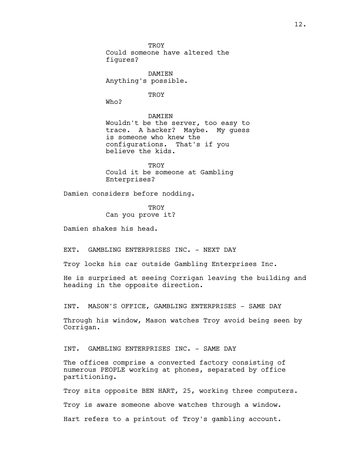TROY Could someone have altered the figures?

DAMIEN Anything's possible.

**TROY** 

Who?

DAMIEN Wouldn't be the server, too easy to trace. A hacker? Maybe. My guess is someone who knew the configurations. That's if you believe the kids.

**TROY** Could it be someone at Gambling Enterprises?

Damien considers before nodding.

**TROY** Can you prove it?

Damien shakes his head.

EXT. GAMBLING ENTERPRISES INC. - NEXT DAY

Troy locks his car outside Gambling Enterprises Inc.

He is surprised at seeing Corrigan leaving the building and heading in the opposite direction.

INT. MASON'S OFFICE, GAMBLING ENTERPRISES - SAME DAY

Through his window, Mason watches Troy avoid being seen by Corrigan.

INT. GAMBLING ENTERPRISES INC. - SAME DAY

The offices comprise a converted factory consisting of numerous PEOPLE working at phones, separated by office partitioning.

Troy sits opposite BEN HART, 25, working three computers.

Troy is aware someone above watches through a window.

Hart refers to a printout of Troy's gambling account.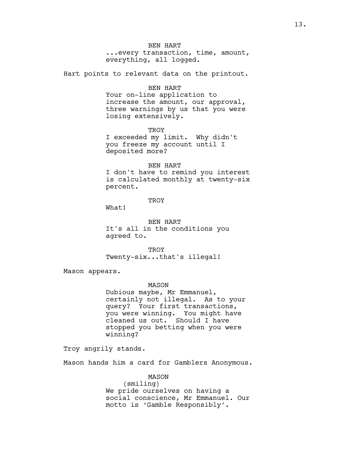BEN HART ...every transaction, time, amount, everything, all logged.

Hart points to relevant data on the printout.

#### BEN HART

Your on-line application to increase the amount, our approval, three warnings by us that you were losing extensively.

**TROY** I exceeded my limit. Why didn't you freeze my account until I deposited more?

#### BEN HART

I don't have to remind you interest is calculated monthly at twenty-six percent.

**TROY** 

What!

BEN HART It's all in the conditions you agreed to.

TROY Twenty-six...that's illegal!

Mason appears.

MASON Dubious maybe, Mr Emmanuel, certainly not illegal. As to your query? Your first transactions, you were winning. You might have cleaned us out. Should I have stopped you betting when you were winning?

Troy angrily stands.

Mason hands him a card for Gamblers Anonymous.

MASON (smiling) We pride ourselves on having a social conscience, Mr Emmanuel. Our motto is 'Gamble Responsibly'.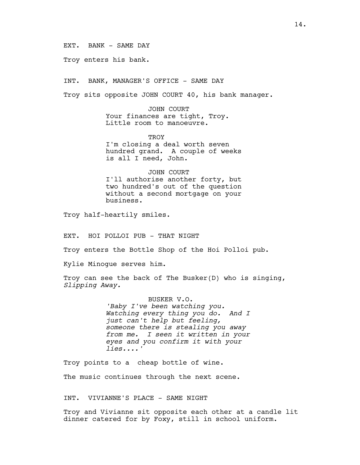EXT. BANK - SAME DAY

Troy enters his bank.

INT. BANK, MANAGER'S OFFICE - SAME DAY

Troy sits opposite JOHN COURT 40, his bank manager.

JOHN COURT Your finances are tight, Troy. Little room to manoeuvre.

TROY I'm closing a deal worth seven hundred grand. A couple of weeks is all I need, John.

JOHN COURT I'll authorise another forty, but two hundred's out of the question without a second mortgage on your business.

Troy half-heartily smiles.

EXT. HOI POLLOI PUB - THAT NIGHT

Troy enters the Bottle Shop of the Hoi Polloi pub.

Kylie Minogue serves him.

Troy can see the back of The Busker(D) who is singing, Slipping Away.

> BUSKER V.O. 'Baby I've been watching you. Watching every thing you do. And I just can't help but feeling, someone there is stealing you away from me. I seen it written in your eyes and you confirm it with your lies....'

Troy points to a cheap bottle of wine. The music continues through the next scene.

INT. VIVIANNE'S PLACE - SAME NIGHT

Troy and Vivianne sit opposite each other at a candle lit dinner catered for by Foxy, still in school uniform.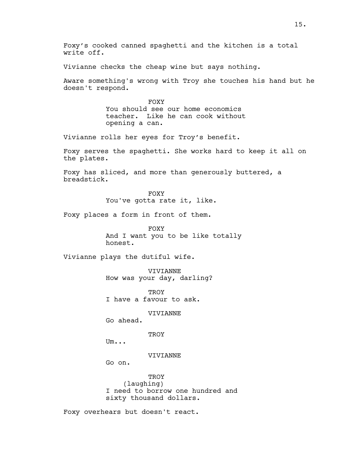Foxy's cooked canned spaghetti and the kitchen is a total write off.

Vivianne checks the cheap wine but says nothing.

Aware something's wrong with Troy she touches his hand but he doesn't respond.

> FOXY You should see our home economics teacher. Like he can cook without opening a can.

Vivianne rolls her eyes for Troy's benefit.

Foxy serves the spaghetti. She works hard to keep it all on the plates.

Foxy has sliced, and more than generously buttered, a breadstick.

> FOXY You've gotta rate it, like.

Foxy places a form in front of them.

**FOXY** And I want you to be like totally honest.

Vivianne plays the dutiful wife.

VIVIANNE How was your day, darling?

TROY I have a favour to ask.

VIVIANNE

Go ahead.

**TROY** 

Um...

VIVIANNE

Go on.

**TROY** (laughing) I need to borrow one hundred and sixty thousand dollars.

Foxy overhears but doesn't react.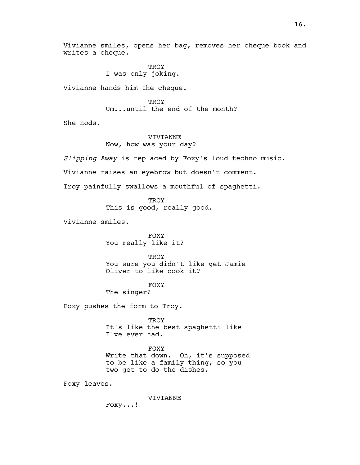Vivianne smiles, opens her bag, removes her cheque book and writes a cheque.

> **TROY** I was only joking.

Vivianne hands him the cheque.

TROY Um...until the end of the month?

She nods.

VIVIANNE Now, how was your day?

Slipping Away is replaced by Foxy's loud techno music.

Vivianne raises an eyebrow but doesn't comment.

Troy painfully swallows a mouthful of spaghetti.

**TROY** This is good, really good.

Vivianne smiles.

FOXY You really like it?

TROY You sure you didn't like get Jamie Oliver to like cook it?

FOXY

The singer?

Foxy pushes the form to Troy.

TROY It's like the best spaghetti like I've ever had.

FOXY Write that down. Oh, it's supposed to be like a family thing, so you two get to do the dishes.

Foxy leaves.

VIVIANNE

Foxy...!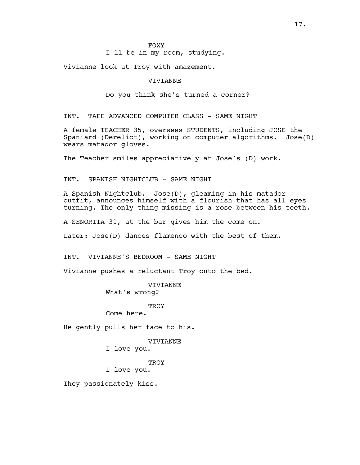# I'll be in my room, studying.

Vivianne look at Troy with amazement.

### VIVIANNE

## Do you think she's turned a corner?

INT. TAFE ADVANCED COMPUTER CLASS - SAME NIGHT

A female TEACHER 35, oversees STUDENTS, including JOSE the Spaniard (Derelict), working on computer algorithms. Jose(D) wears matador gloves.

The Teacher smiles appreciatively at Jose's (D) work.

INT. SPANISH NIGHTCLUB - SAME NIGHT

A Spanish Nightclub. Jose(D), gleaming in his matador outfit, announces himself with a flourish that has all eyes turning. The only thing missing is a rose between his teeth.

A SENORITA 31, at the bar gives him the come on.

Later: Jose(D) dances flamenco with the best of them.

INT. VIVIANNE'S BEDROOM - SAME NIGHT

Vivianne pushes a reluctant Troy onto the bed.

VIVIANNE What's wrong?

**TROY** 

Come here.

He gently pulls her face to his.

#### VIVIANNE

I love you.

**TROY** 

I love you.

They passionately kiss.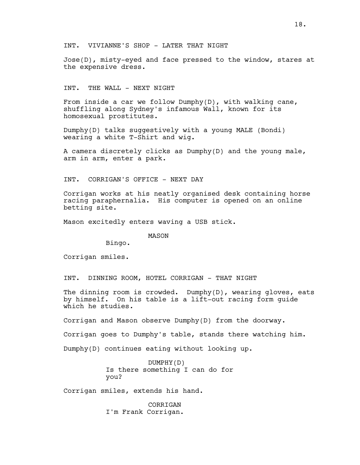INT. VIVIANNE'S SHOP - LATER THAT NIGHT

Jose(D), misty-eyed and face pressed to the window, stares at the expensive dress.

## INT. THE WALL - NEXT NIGHT

From inside a car we follow  $Dump(y|D)$ , with walking cane, shuffling along Sydney's infamous Wall, known for its homosexual prostitutes.

Dumphy(D) talks suggestively with a young MALE (Bondi) wearing a white T-Shirt and wig.

A camera discretely clicks as Dumphy(D) and the young male, arm in arm, enter a park.

INT. CORRIGAN'S OFFICE - NEXT DAY

Corrigan works at his neatly organised desk containing horse racing paraphernalia. His computer is opened on an online betting site.

Mason excitedly enters waving a USB stick.

MASON

Bingo.

Corrigan smiles.

INT. DINNING ROOM, HOTEL CORRIGAN - THAT NIGHT

The dinning room is crowded. Dumphy $(D)$ , wearing gloves, eats by himself. On his table is a lift-out racing form guide which he studies.

Corrigan and Mason observe Dumphy(D) from the doorway.

Corrigan goes to Dumphy's table, stands there watching him.

Dumphy(D) continues eating without looking up.

DUMPHY(D) Is there something I can do for you?

Corrigan smiles, extends his hand.

**CORRIGAN** I'm Frank Corrigan.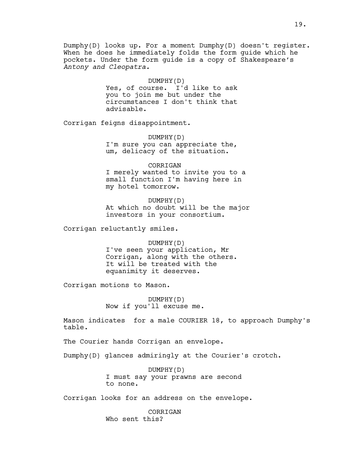Dumphy(D) looks up. For a moment Dumphy(D) doesn't register. When he does he immediately folds the form guide which he pockets. Under the form guide is a copy of Shakespeare's Antony and Cleopatra.

> DUMPHY(D) Yes, of course. I'd like to ask you to join me but under the circumstances I don't think that advisable.

Corrigan feigns disappointment.

DUMPHY(D) I'm sure you can appreciate the, um, delicacy of the situation.

CORRIGAN I merely wanted to invite you to a small function I'm having here in my hotel tomorrow.

DUMPHY(D) At which no doubt will be the major investors in your consortium.

Corrigan reluctantly smiles.

DUMPHY(D) I've seen your application, Mr Corrigan, along with the others. It will be treated with the equanimity it deserves.

Corrigan motions to Mason.

DUMPHY(D) Now if you'll excuse me.

Mason indicates for a male COURIER 18, to approach Dumphy's table.

The Courier hands Corrigan an envelope.

Dumphy(D) glances admiringly at the Courier's crotch.

DUMPHY(D) I must say your prawns are second to none.

Corrigan looks for an address on the envelope.

CORRIGAN Who sent this?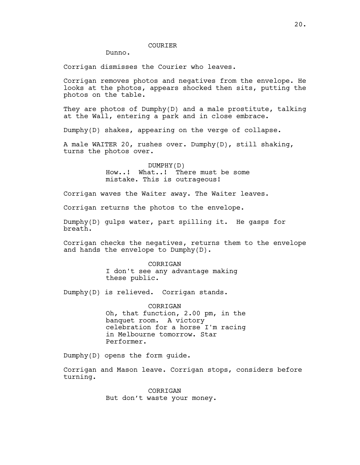## COURTER

#### Dunno.

Corrigan dismisses the Courier who leaves.

Corrigan removes photos and negatives from the envelope. He looks at the photos, appears shocked then sits, putting the photos on the table.

They are photos of Dumphy(D) and a male prostitute, talking at the Wall, entering a park and in close embrace.

Dumphy(D) shakes, appearing on the verge of collapse.

A male WAITER 20, rushes over. Dumphy(D), still shaking, turns the photos over.

> DUMPHY(D) How..! What..! There must be some mistake. This is outrageous!

Corrigan waves the Waiter away. The Waiter leaves.

Corrigan returns the photos to the envelope.

Dumphy(D) gulps water, part spilling it. He gasps for breath.

Corrigan checks the negatives, returns them to the envelope and hands the envelope to Dumphy(D).

> CORRIGAN I don't see any advantage making these public.

Dumphy(D) is relieved. Corrigan stands.

CORRIGAN Oh, that function, 2.00 pm, in the banquet room. A victory celebration for a horse I'm racing in Melbourne tomorrow. Star Performer.

Dumphy(D) opens the form guide.

Corrigan and Mason leave. Corrigan stops, considers before turning.

> CORRIGAN But don't waste your money.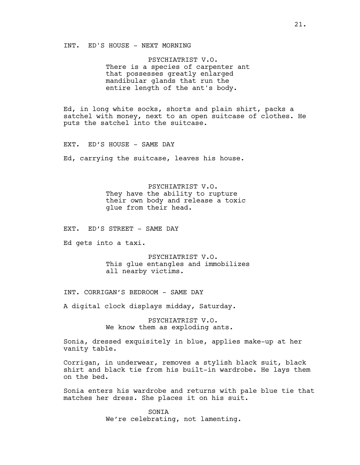INT. ED'S HOUSE - NEXT MORNING

PSYCHIATRIST V.O. There is a species of carpenter ant that possesses greatly enlarged mandibular glands that run the entire length of the ant's body.

Ed, in long white socks, shorts and plain shirt, packs a satchel with money, next to an open suitcase of clothes. He puts the satchel into the suitcase.

EXT. ED'S HOUSE - SAME DAY

Ed, carrying the suitcase, leaves his house.

PSYCHIATRIST V.O. They have the ability to rupture their own body and release a toxic glue from their head.

EXT. ED'S STREET - SAME DAY

Ed gets into a taxi.

PSYCHIATRIST V.O. This glue entangles and immobilizes all nearby victims.

INT. CORRIGAN'S BEDROOM - SAME DAY

A digital clock displays midday, Saturday.

PSYCHIATRIST V.O. We know them as exploding ants.

Sonia, dressed exquisitely in blue, applies make-up at her vanity table.

Corrigan, in underwear, removes a stylish black suit, black shirt and black tie from his built-in wardrobe. He lays them on the bed.

Sonia enters his wardrobe and returns with pale blue tie that matches her dress. She places it on his suit.

> SONIA We're celebrating, not lamenting.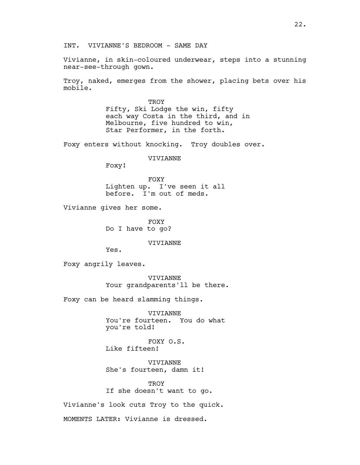Vivianne, in skin-coloured underwear, steps into a stunning near-see-through gown.

Troy, naked, emerges from the shower, placing bets over his mobile.

> **TROY** Fifty, Ski Lodge the win, fifty each way Costa in the third, and in Melbourne, five hundred to win, Star Performer, in the forth.

Foxy enters without knocking. Troy doubles over.

#### VIVIANNE

Foxy!

FOXY Lighten up. I've seen it all before. I'm out of meds.

Vivianne gives her some.

FOXY Do I have to go?

VIVIANNE

Yes.

Foxy angrily leaves.

VIVIANNE Your grandparents'll be there.

Foxy can be heard slamming things.

VIVIANNE You're fourteen. You do what you're told!

FOXY O.S. Like fifteen!

VIVIANNE She's fourteen, damn it!

TROY If she doesn't want to go.

Vivianne's look cuts Troy to the quick. MOMENTS LATER: Vivianne is dressed.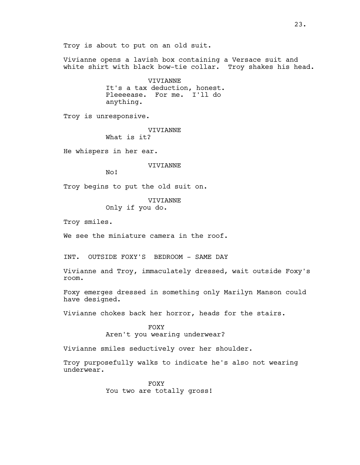Vivianne opens a lavish box containing a Versace suit and white shirt with black bow-tie collar. Troy shakes his head.

> VIVIANNE It's a tax deduction, honest. Pleeeease. For me. I'll do anything.

Troy is unresponsive.

VIVIANNE

What is it?

He whispers in her ear.

# VIVIANNE

No!

Troy begins to put the old suit on.

# VIVIANNE

Only if you do.

Troy smiles.

We see the miniature camera in the roof.

INT. OUTSIDE FOXY'S BEDROOM - SAME DAY

Vivianne and Troy, immaculately dressed, wait outside Foxy's room.

Foxy emerges dressed in something only Marilyn Manson could have designed.

Vivianne chokes back her horror, heads for the stairs.

# FOXY

Aren't you wearing underwear?

Vivianne smiles seductively over her shoulder.

Troy purposefully walks to indicate he's also not wearing underwear.

> FOXY You two are totally gross!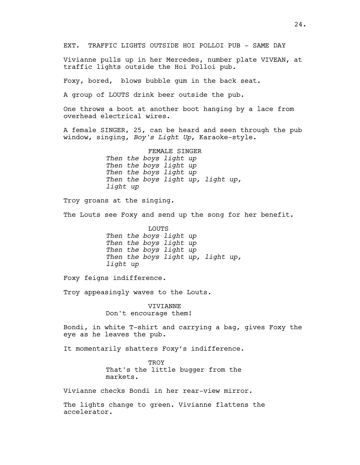EXT. TRAFFIC LIGHTS OUTSIDE HOI POLLOI PUB - SAME DAY

Vivianne pulls up in her Mercedes, number plate VIVEAN, at traffic lights outside the Hoi Polloi pub.

Foxy, bored, blows bubble gum in the back seat.

A group of LOUTS drink beer outside the pub.

One throws a boot at another boot hanging by a lace from overhead electrical wires.

A female SINGER, 25, can be heard and seen through the pub window, singing, Boy's Light Up, Karaoke-style.

> FEMALE SINGER Then the boys light up Then the boys light up Then the boys light up Then the boys light up, light up, light up

Troy groans at the singing.

The Louts see Foxy and send up the song for her benefit.

LOUTS Then the boys light up Then the boys light up Then the boys light up Then the boys light up, light up, light up

Foxy feigns indifference.

Troy appeasingly waves to the Louts.

VIVIANNE Don't encourage them!

Bondi, in white T-shirt and carrying a bag, gives Foxy the eye as he leaves the pub.

It momentarily shatters Foxy's indifference.

**TROY** That's the little bugger from the markets.

Vivianne checks Bondi in her rear-view mirror.

The lights change to green. Vivianne flattens the accelerator.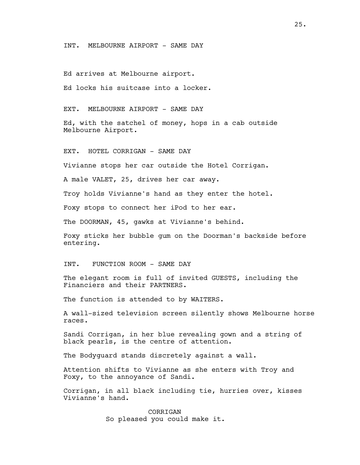INT. MELBOURNE AIRPORT - SAME DAY

Ed arrives at Melbourne airport.

Ed locks his suitcase into a locker.

EXT. MELBOURNE AIRPORT - SAME DAY

Ed, with the satchel of money, hops in a cab outside Melbourne Airport.

EXT. HOTEL CORRIGAN - SAME DAY

Vivianne stops her car outside the Hotel Corrigan.

A male VALET, 25, drives her car away.

Troy holds Vivianne's hand as they enter the hotel.

Foxy stops to connect her iPod to her ear.

The DOORMAN, 45, gawks at Vivianne's behind.

Foxy sticks her bubble gum on the Doorman's backside before entering.

INT. FUNCTION ROOM - SAME DAY

The elegant room is full of invited GUESTS, including the Financiers and their PARTNERS.

The function is attended to by WAITERS.

A wall-sized television screen silently shows Melbourne horse races.

Sandi Corrigan, in her blue revealing gown and a string of black pearls, is the centre of attention.

The Bodyguard stands discretely against a wall.

Attention shifts to Vivianne as she enters with Troy and Foxy, to the annoyance of Sandi.

Corrigan, in all black including tie, hurries over, kisses Vivianne's hand.

> CORRIGAN So pleased you could make it.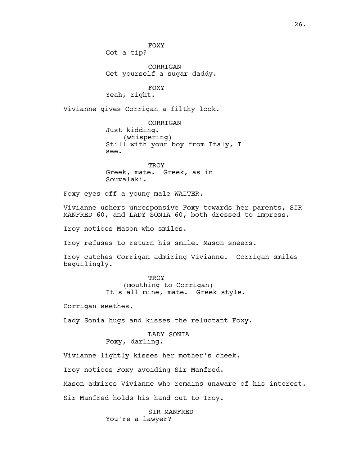FOXY Got a tip?

CORRIGAN Get yourself a sugar daddy.

FOXY Yeah, right.

Vivianne gives Corrigan a filthy look.

CORRIGAN Just kidding. (whispering) Still with your boy from Italy, I see.

**TROY** Greek, mate. Greek, as in Souvalaki.

Foxy eyes off a young male WAITER.

Vivianne ushers unresponsive Foxy towards her parents, SIR MANFRED 60, and LADY SONIA 60, both dressed to impress.

Troy notices Mason who smiles.

Troy refuses to return his smile. Mason sneers.

Troy catches Corrigan admiring Vivianne. Corrigan smiles beguilingly.

> **TROY** (mouthing to Corrigan) It's all mine, mate. Greek style.

Corrigan seethes.

Lady Sonia hugs and kisses the reluctant Foxy.

LADY SONIA Foxy, darling.

Vivianne lightly kisses her mother's cheek.

Troy notices Foxy avoiding Sir Manfred.

Mason admires Vivianne who remains unaware of his interest.

Sir Manfred holds his hand out to Troy.

SIR MANFRED You're a lawyer?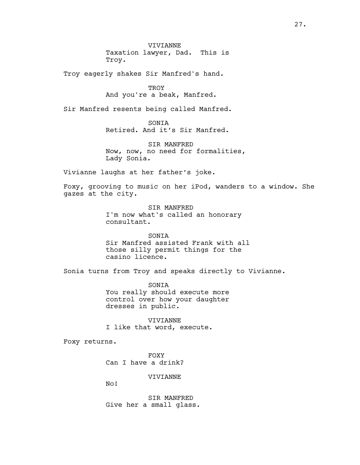VIVIANNE Taxation lawyer, Dad. This is Troy.

Troy eagerly shakes Sir Manfred's hand.

TROY And you're a beak, Manfred.

Sir Manfred resents being called Manfred.

SONIA Retired. And it's Sir Manfred.

SIR MANFRED Now, now, no need for formalities, Lady Sonia.

Vivianne laughs at her father's joke.

Foxy, grooving to music on her iPod, wanders to a window. She gazes at the city.

> SIR MANFRED I'm now what's called an honorary consultant.

SONIA Sir Manfred assisted Frank with all those silly permit things for the casino licence.

Sonia turns from Troy and speaks directly to Vivianne.

SONIA You really should execute more control over how your daughter dresses in public.

VIVIANNE I like that word, execute.

Foxy returns.

**FOXY** Can I have a drink?

VIVIANNE

No!

SIR MANFRED Give her a small glass.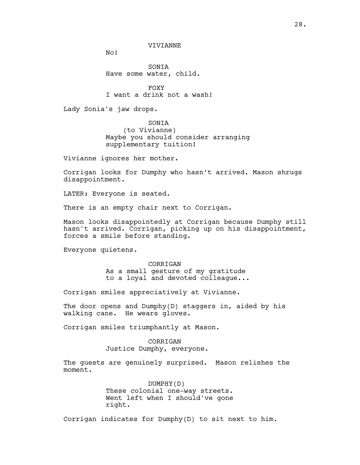VIVIANNE

No!

SONIA Have some water, child.

FOXY I want a drink not a wash!

Lady Sonia's jaw drops.

SONIA (to Vivianne) Maybe you should consider arranging supplementary tuition!

Vivianne ignores her mother.

Corrigan looks for Dumphy who hasn't arrived. Mason shrugs disappointment.

LATER: Everyone is seated.

There is an empty chair next to Corrigan.

Mason looks disappointedly at Corrigan because Dumphy still hasn't arrived. Corrigan, picking up on his disappointment, forces a smile before standing.

Everyone quietens.

**CORRIGAN** As a small gesture of my gratitude to a loyal and devoted colleague...

Corrigan smiles appreciatively at Vivianne.

The door opens and Dumphy(D) staggers in, aided by his walking cane. He wears gloves.

Corrigan smiles triumphantly at Mason.

CORRIGAN Justice Dumphy, everyone.

The guests are genuinely surprised. Mason relishes the moment.

> DUMPHY(D) These colonial one-way streets. Went left when I should've gone right.

Corrigan indicates for Dumphy(D) to sit next to him.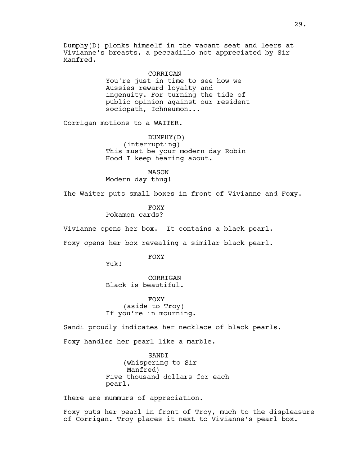Dumphy(D) plonks himself in the vacant seat and leers at Vivianne's breasts, a peccadillo not appreciated by Sir Manfred.

CORRIGAN

You're just in time to see how we Aussies reward loyalty and ingenuity. For turning the tide of public opinion against our resident sociopath, Ichneumon...

Corrigan motions to a WAITER.

DUMPHY(D) (interrupting) This must be your modern day Robin Hood I keep hearing about.

MASON Modern day thug!

The Waiter puts small boxes in front of Vivianne and Foxy.

FOXY

Pokamon cards?

Vivianne opens her box. It contains a black pearl.

Foxy opens her box revealing a similar black pearl.

FOXY

Yuk!

CORRIGAN Black is beautiful.

FOXY (aside to Troy) If you're in mourning.

Sandi proudly indicates her necklace of black pearls.

Foxy handles her pearl like a marble.

SANDI (whispering to Sir Manfred) Five thousand dollars for each pearl.

There are mummurs of appreciation.

Foxy puts her pearl in front of Troy, much to the displeasure of Corrigan. Troy places it next to Vivianne's pearl box.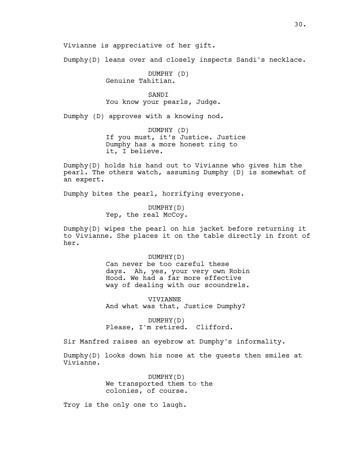Vivianne is appreciative of her gift.

Dumphy(D) leans over and closely inspects Sandi's necklace.

DUMPHY (D) Genuine Tahitian.

SANDI You know your pearls, Judge.

Dumphy (D) approves with a knowing nod.

DUMPHY (D) If you must, it's Justice. Justice Dumphy has a more honest ring to it, I believe.

Dumphy(D) holds his hand out to Vivianne who gives him the pearl. The others watch, assuming Dumphy (D) is somewhat of an expert.

Dumphy bites the pearl, horrifying everyone.

DUMPHY(D) Yep, the real McCoy.

Dumphy(D) wipes the pearl on his jacket before returning it to Vivianne. She places it on the table directly in front of her.

#### DUMPHY(D)

Can never be too careful these days. Ah, yes, your very own Robin Hood. We had a far more effective way of dealing with our scoundrels.

VIVIANNE And what was that, Justice Dumphy?

DUMPHY(D) Please, I'm retired. Clifford.

Sir Manfred raises an eyebrow at Dumphy's informality.

Dumphy(D) looks down his nose at the guests then smiles at Vivianne.

> DUMPHY(D) We transported them to the colonies, of course.

Troy is the only one to laugh.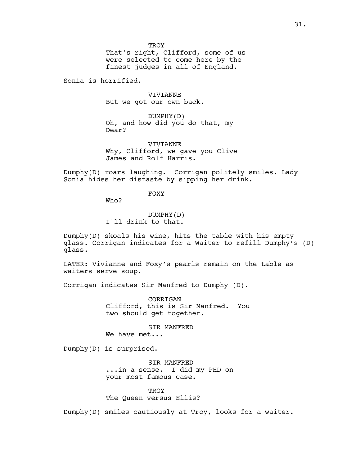That's right, Clifford, some of us were selected to come here by the finest judges in all of England.

Sonia is horrified.

VIVIANNE But we got our own back.

DUMPHY(D) Oh, and how did you do that, my Dear?

VIVIANNE Why, Clifford, we gave you Clive James and Rolf Harris.

Dumphy(D) roars laughing. Corrigan politely smiles. Lady Sonia hides her distaste by sipping her drink.

FOXY

Who?

DUMPHY(D) I'll drink to that.

Dumphy(D) skoals his wine, hits the table with his empty glass. Corrigan indicates for a Waiter to refill Dumphy's (D) glass.

LATER: Vivianne and Foxy's pearls remain on the table as waiters serve soup.

Corrigan indicates Sir Manfred to Dumphy (D).

CORRIGAN Clifford, this is Sir Manfred. You two should get together.

SIR MANFRED We have met...

Dumphy(D) is surprised.

SIR MANFRED ...in a sense. I did my PHD on your most famous case.

**TROY** The Queen versus Ellis?

Dumphy(D) smiles cautiously at Troy, looks for a waiter.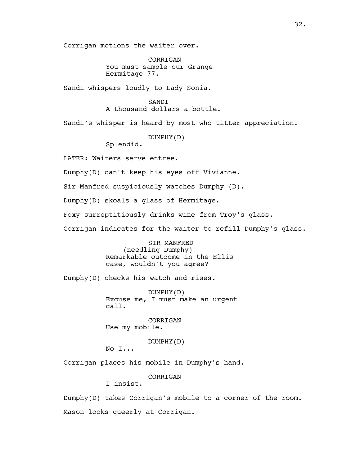Corrigan motions the waiter over.

CORRIGAN You must sample our Grange Hermitage 77.

Sandi whispers loudly to Lady Sonia.

**SANDI** 

A thousand dollars a bottle.

Sandi's whisper is heard by most who titter appreciation.

DUMPHY(D)

Splendid.

LATER: Waiters serve entree.

Dumphy(D) can't keep his eyes off Vivianne.

Sir Manfred suspiciously watches Dumphy (D).

Dumphy(D) skoals a glass of Hermitage.

Foxy surreptitiously drinks wine from Troy's glass.

Corrigan indicates for the waiter to refill Dumphy's glass.

# SIR MANFRED (needling Dumphy) Remarkable outcome in the Ellis case, wouldn't you agree?

Dumphy(D) checks his watch and rises.

DUMPHY(D) Excuse me, I must make an urgent call.

CORRIGAN Use my mobile.

DUMPHY(D)

No I...

Corrigan places his mobile in Dumphy's hand.

CORRIGAN

I insist.

Dumphy(D) takes Corrigan's mobile to a corner of the room. Mason looks queerly at Corrigan.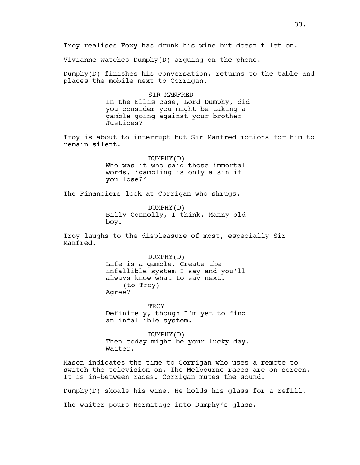Troy realises Foxy has drunk his wine but doesn't let on.

Vivianne watches Dumphy(D) arguing on the phone.

Dumphy(D) finishes his conversation, returns to the table and places the mobile next to Corrigan.

> SIR MANFRED In the Ellis case, Lord Dumphy, did you consider you might be taking a gamble going against your brother Justices?

Troy is about to interrupt but Sir Manfred motions for him to remain silent.

> DUMPHY(D) Who was it who said those immortal words, 'gambling is only a sin if you lose?'

The Financiers look at Corrigan who shrugs.

DUMPHY(D) Billy Connolly, I think, Manny old boy.

Troy laughs to the displeasure of most, especially Sir Manfred.

> DUMPHY(D) Life is a gamble. Create the infallible system I say and you'll always know what to say next. (to Troy) Agree?

> **TROY** Definitely, though I'm yet to find an infallible system.

DUMPHY(D) Then today might be your lucky day. Waiter.

Mason indicates the time to Corrigan who uses a remote to switch the television on. The Melbourne races are on screen. It is in-between races. Corrigan mutes the sound.

Dumphy(D) skoals his wine. He holds his glass for a refill.

The waiter pours Hermitage into Dumphy's glass.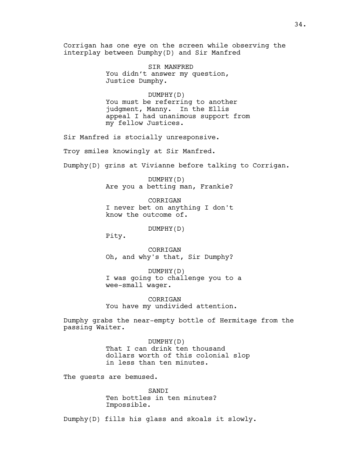Corrigan has one eye on the screen while observing the interplay between Dumphy(D) and Sir Manfred

> SIR MANFRED You didn't answer my question, Justice Dumphy.

DUMPHY(D) You must be referring to another judgment, Manny. In the Ellis appeal I had unanimous support from my fellow Justices.

Sir Manfred is stocially unresponsive.

Troy smiles knowingly at Sir Manfred.

Dumphy(D) grins at Vivianne before talking to Corrigan.

DUMPHY(D) Are you a betting man, Frankie?

CORRIGAN I never bet on anything I don't know the outcome of.

DUMPHY(D)

Pity.

**CORRIGAN** Oh, and why's that, Sir Dumphy?

DUMPHY(D) I was going to challenge you to a wee-small wager.

CORRIGAN You have my undivided attention.

Dumphy grabs the near-empty bottle of Hermitage from the passing Waiter.

> DUMPHY(D) That I can drink ten thousand dollars worth of this colonial slop in less than ten minutes.

The guests are bemused.

SANDI Ten bottles in ten minutes? Impossible.

Dumphy(D) fills his glass and skoals it slowly.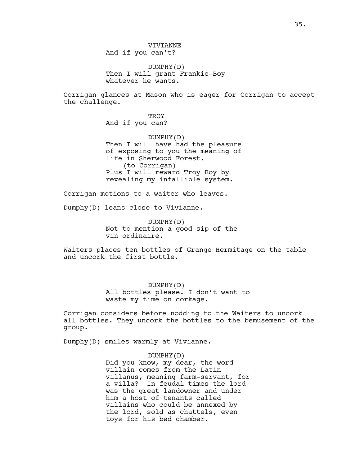VIVIANNE And if you can't?

DUMPHY(D) Then I will grant Frankie-Boy whatever he wants.

Corrigan glances at Mason who is eager for Corrigan to accept the challenge.

> **TROY** And if you can?

DUMPHY(D) Then I will have had the pleasure of exposing to you the meaning of life in Sherwood Forest. (to Corrigan) Plus I will reward Troy Boy by revealing my infallible system.

Corrigan motions to a waiter who leaves.

Dumphy(D) leans close to Vivianne.

DUMPHY(D) Not to mention a good sip of the vin ordinaire.

Waiters places ten bottles of Grange Hermitage on the table and uncork the first bottle.

> DUMPHY(D) All bottles please. I don't want to waste my time on corkage.

Corrigan considers before nodding to the Waiters to uncork all bottles. They uncork the bottles to the bemusement of the group.

Dumphy(D) smiles warmly at Vivianne.

DUMPHY(D) Did you know, my dear, the word villain comes from the Latin villanus, meaning farm-servant, for a villa? In feudal times the lord was the great landowner and under him a host of tenants called villains who could be annexed by the lord, sold as chattels, even toys for his bed chamber.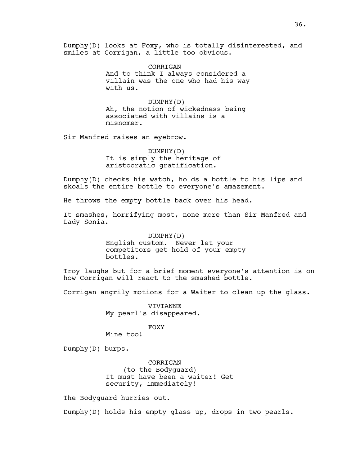Dumphy(D) looks at Foxy, who is totally disinterested, and smiles at Corrigan, a little too obvious.

> CORRIGAN And to think I always considered a villain was the one who had his way with us.

DUMPHY(D) Ah, the notion of wickedness being associated with villains is a misnomer.

Sir Manfred raises an eyebrow.

DUMPHY(D) It is simply the heritage of aristocratic gratification.

Dumphy(D) checks his watch, holds a bottle to his lips and skoals the entire bottle to everyone's amazement.

He throws the empty bottle back over his head.

It smashes, horrifying most, none more than Sir Manfred and Lady Sonia.

> DUMPHY(D) English custom. Never let your competitors get hold of your empty bottles.

Troy laughs but for a brief moment everyone's attention is on how Corrigan will react to the smashed bottle.

Corrigan angrily motions for a Waiter to clean up the glass.

VIVIANNE My pearl's disappeared.

FOXY

Mine too!

Dumphy(D) burps.

CORRIGAN (to the Bodyguard) It must have been a waiter! Get security, immediately!

The Bodyguard hurries out.

Dumphy(D) holds his empty glass up, drops in two pearls.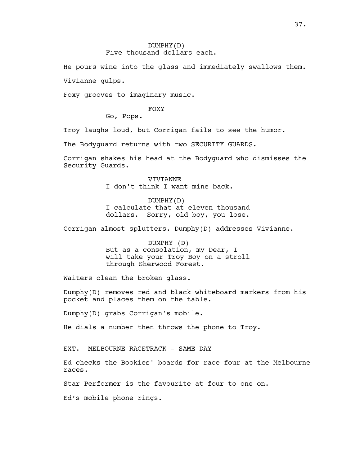# DUMPHY(D) Five thousand dollars each.

He pours wine into the glass and immediately swallows them. Vivianne gulps.

Foxy grooves to imaginary music.

FOXY

Go, Pops.

Troy laughs loud, but Corrigan fails to see the humor.

The Bodyguard returns with two SECURITY GUARDS.

Corrigan shakes his head at the Bodyguard who dismisses the Security Guards.

> VIVIANNE I don't think I want mine back.

> > DUMPHY(D)

I calculate that at eleven thousand dollars. Sorry, old boy, you lose.

Corrigan almost splutters. Dumphy(D) addresses Vivianne.

DUMPHY (D) But as a consolation, my Dear, I will take your Troy Boy on a stroll through Sherwood Forest.

Waiters clean the broken glass.

Dumphy(D) removes red and black whiteboard markers from his pocket and places them on the table.

Dumphy(D) grabs Corrigan's mobile.

He dials a number then throws the phone to Troy.

EXT. MELBOURNE RACETRACK - SAME DAY

Ed checks the Bookies' boards for race four at the Melbourne races.

Star Performer is the favourite at four to one on.

Ed's mobile phone rings.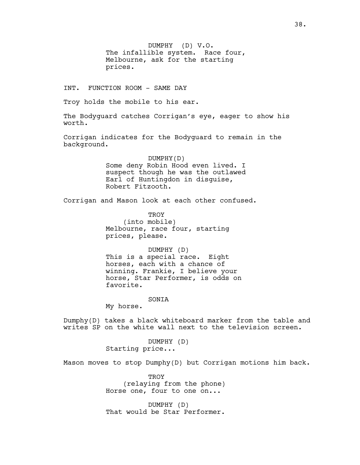DUMPHY (D) V.O. The infallible system. Race four, Melbourne, ask for the starting prices.

INT. FUNCTION ROOM - SAME DAY

Troy holds the mobile to his ear.

The Bodyguard catches Corrigan's eye, eager to show his worth.

Corrigan indicates for the Bodyguard to remain in the background.

> DUMPHY(D) Some deny Robin Hood even lived. I suspect though he was the outlawed Earl of Huntingdon in disguise, Robert Fitzooth.

Corrigan and Mason look at each other confused.

TROY (into mobile) Melbourne, race four, starting prices, please.

DUMPHY (D) This is a special race. Eight horses, each with a chance of winning. Frankie, I believe your horse, Star Performer, is odds on favorite.

SONIA

My horse.

Dumphy(D) takes a black whiteboard marker from the table and writes SP on the white wall next to the television screen.

> DUMPHY (D) Starting price...

Mason moves to stop Dumphy(D) but Corrigan motions him back.

**TROY** (relaying from the phone) Horse one, four to one on...

DUMPHY (D) That would be Star Performer.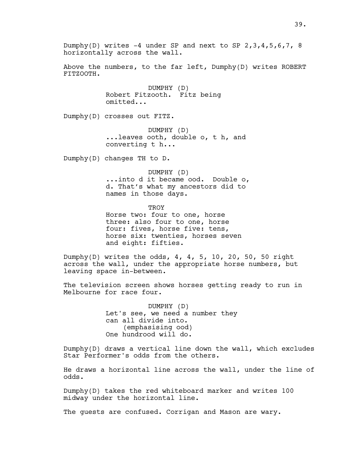Dumphy(D) writes  $-4$  under SP and next to SP  $2,3,4,5,6,7$ , 8 horizontally across the wall. Above the numbers, to the far left, Dumphy(D) writes ROBERT FITZOOTH. DUMPHY (D) Robert Fitzooth. Fitz being omitted... Dumphy(D) crosses out FITZ. DUMPHY (D) ...leaves ooth, double o, t h, and converting t h... Dumphy(D) changes TH to D. DUMPHY (D) ...into d it became ood. Double o, d. That's what my ancestors did to names in those days. TROY Horse two: four to one, horse three: also four to one, horse four: fives, horse five: tens, horse six: twenties, horses seven and eight: fifties. Dumphy(D) writes the odds, 4, 4, 5, 10, 20, 50, 50 right across the wall, under the appropriate horse numbers, but leaving space in-between. The television screen shows horses getting ready to run in Melbourne for race four. DUMPHY (D) Let's see, we need a number they can all divide into. (emphasising ood) One hundrood will do.

Dumphy(D) draws a vertical line down the wall, which excludes Star Performer's odds from the others.

He draws a horizontal line across the wall, under the line of odds.

Dumphy(D) takes the red whiteboard marker and writes 100 midway under the horizontal line.

The guests are confused. Corrigan and Mason are wary.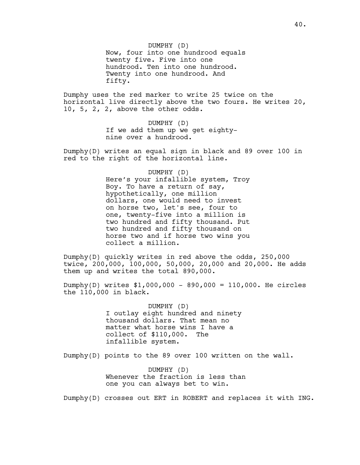DUMPHY (D)

Now, four into one hundrood equals twenty five. Five into one hundrood. Ten into one hundrood. Twenty into one hundrood. And fifty.

Dumphy uses the red marker to write 25 twice on the horizontal live directly above the two fours. He writes 20, 10, 5, 2, 2, above the other odds.

> DUMPHY (D) If we add them up we get eightynine over a hundrood.

Dumphy(D) writes an equal sign in black and 89 over 100 in red to the right of the horizontal line.

DUMPHY (D)

Here's your infallible system, Troy Boy. To have a return of say, hypothetically, one million dollars, one would need to invest on horse two, let's see, four to one, twenty-five into a million is two hundred and fifty thousand. Put two hundred and fifty thousand on horse two and if horse two wins you collect a million.

Dumphy(D) quickly writes in red above the odds, 250,000 twice, 200,000, 100,000, 50,000, 20,000 and 20,000. He adds them up and writes the total 890,000.

Dumphy(D) writes \$1,000,000 - 890,000 = 110,000. He circles the 110,000 in black.

> DUMPHY (D) I outlay eight hundred and ninety thousand dollars. That mean no matter what horse wins I have a collect of \$110,000. The infallible system.

Dumphy(D) points to the 89 over 100 written on the wall.

DUMPHY (D) Whenever the fraction is less than one you can always bet to win.

Dumphy(D) crosses out ERT in ROBERT and replaces it with ING.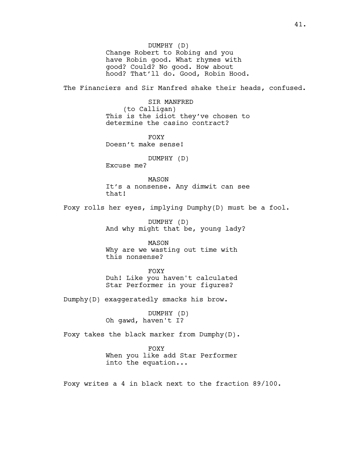DUMPHY (D) Change Robert to Robing and you have Robin good. What rhymes with good? Could? No good. How about hood? That'll do. Good, Robin Hood.

The Financiers and Sir Manfred shake their heads, confused.

SIR MANFRED (to Calligan) This is the idiot they've chosen to determine the casino contract?

FOXY Doesn't make sense!

DUMPHY (D) Excuse me?

MASON It's a nonsense. Any dimwit can see that!

Foxy rolls her eyes, implying Dumphy(D) must be a fool.

DUMPHY (D) And why might that be, young lady?

MASON Why are we wasting out time with this nonsense?

FOXY Duh! Like you haven't calculated Star Performer in your figures?

Dumphy(D) exaggeratedly smacks his brow.

DUMPHY (D) Oh gawd, haven't I?

Foxy takes the black marker from Dumphy(D).

FOXY When you like add Star Performer into the equation...

Foxy writes a 4 in black next to the fraction 89/100.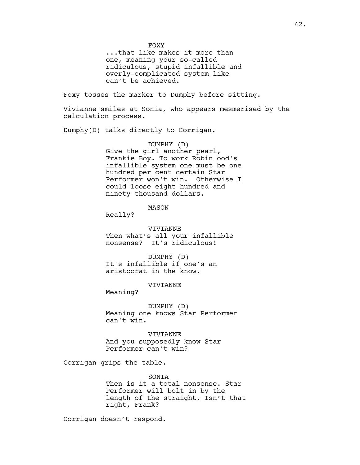FOXY

...that like makes it more than one, meaning your so-called ridiculous, stupid infallible and overly-complicated system like can't be achieved.

Foxy tosses the marker to Dumphy before sitting.

Vivianne smiles at Sonia, who appears mesmerised by the calculation process.

Dumphy(D) talks directly to Corrigan.

DUMPHY (D) Give the girl another pearl, Frankie Boy. To work Robin ood's infallible system one must be one hundred per cent certain Star Performer won't win. Otherwise I could loose eight hundred and ninety thousand dollars.

MASON

Really?

VIVIANNE Then what's all your infallible nonsense? It's ridiculous!

DUMPHY (D) It's infallible if one's an aristocrat in the know.

VIVIANNE

Meaning?

DUMPHY (D) Meaning one knows Star Performer can't win.

VIVIANNE And you supposedly know Star Performer can't win?

Corrigan grips the table.

SONIA

Then is it a total nonsense. Star Performer will bolt in by the length of the straight. Isn't that right, Frank?

Corrigan doesn't respond.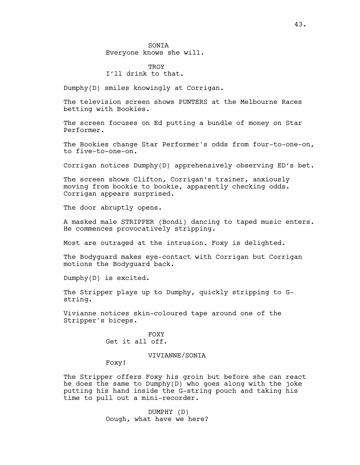# **TROY** I'll drink to that.

Dumphy(D) smiles knowingly at Corrigan.

The television screen shows PUNTERS at the Melbourne Races betting with Bookies.

The screen focuses on Ed putting a bundle of money on Star Performer.

The Bookies change Star Performer's odds from four-to-one-on, to five-to-one-on.

Corrigan notices Dumphy(D) apprehensively observing ED's bet.

The screen shows Clifton, Corrigan's trainer, anxiously moving from bookie to bookie, apparently checking odds. Corrigan appears surprised.

The door abruptly opens.

A masked male STRIPPER (Bondi) dancing to taped music enters. He commences provocatively stripping.

Most are outraged at the intrusion. Foxy is delighted.

The Bodyguard makes eye-contact with Corrigan but Corrigan motions the Bodyguard back.

Dumphy(D) is excited.

The Stripper plays up to Dumphy, quickly stripping to Gstring.

Vivianne notices skin-coloured tape around one of the Stripper's biceps.

> FOXY Get it all off.

# VIVIANNE/SONIA

Foxy!

The Stripper offers Foxy his groin but before she can react he does the same to Dumphy(D) who goes along with the joke putting his hand inside the G-string pouch and taking his time to pull out a mini-recorder.

> DUMPHY (D) Oough, what have we here?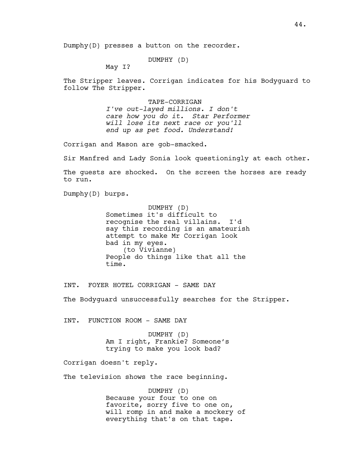Dumphy(D) presses a button on the recorder.

DUMPHY (D)

May I?

The Stripper leaves. Corrigan indicates for his Bodyguard to follow The Stripper.

> TAPE-CORRIGAN I've out-layed millions. I don't care how you do it. Star Performer will lose its next race or you'll end up as pet food. Understand!

Corrigan and Mason are gob-smacked.

Sir Manfred and Lady Sonia look questioningly at each other.

The guests are shocked. On the screen the horses are ready to run.

Dumphy(D) burps.

DUMPHY (D) Sometimes it's difficult to recognise the real villains. I'd say this recording is an amateurish attempt to make Mr Corrigan look bad in my eyes. (to Vivianne) People do things like that all the time.

INT. FOYER HOTEL CORRIGAN - SAME DAY The Bodyguard unsuccessfully searches for the Stripper.

INT. FUNCTION ROOM - SAME DAY

DUMPHY (D) Am I right, Frankie? Someone's trying to make you look bad?

Corrigan doesn't reply.

The television shows the race beginning.

DUMPHY (D) Because your four to one on favorite, sorry five to one on, will romp in and make a mockery of everything that's on that tape.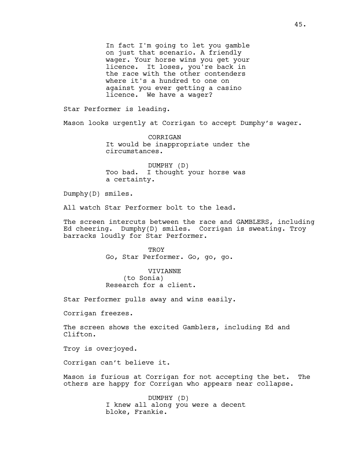In fact I'm going to let you gamble on just that scenario. A friendly wager. Your horse wins you get your licence. It loses, you're back in the race with the other contenders where it's a hundred to one on against you ever getting a casino licence. We have a wager?

Star Performer is leading.

Mason looks urgently at Corrigan to accept Dumphy's wager.

**CORRIGAN** It would be inappropriate under the circumstances.

DUMPHY (D) Too bad. I thought your horse was a certainty.

Dumphy(D) smiles.

All watch Star Performer bolt to the lead.

The screen intercuts between the race and GAMBLERS, including Ed cheering. Dumphy(D) smiles. Corrigan is sweating. Troy barracks loudly for Star Performer.

> **TROY** Go, Star Performer. Go, go, go.

VIVIANNE (to Sonia) Research for a client.

Star Performer pulls away and wins easily.

Corrigan freezes.

The screen shows the excited Gamblers, including Ed and Clifton.

Troy is overjoyed.

Corrigan can't believe it.

Mason is furious at Corrigan for not accepting the bet. The others are happy for Corrigan who appears near collapse.

> DUMPHY (D) I knew all along you were a decent bloke, Frankie.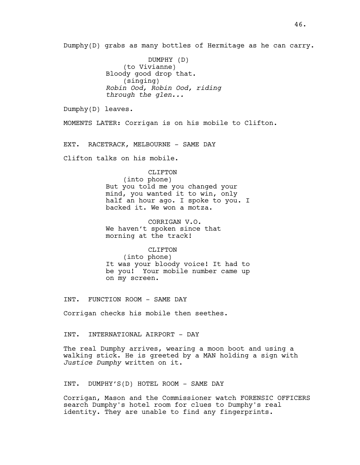Dumphy(D) grabs as many bottles of Hermitage as he can carry.

DUMPHY (D) (to Vivianne) Bloody good drop that. (singing) Robin Ood, Robin Ood, riding through the glen...

Dumphy(D) leaves.

MOMENTS LATER: Corrigan is on his mobile to Clifton.

EXT. RACETRACK, MELBOURNE - SAME DAY

Clifton talks on his mobile.

CLIFTON

(into phone) But you told me you changed your mind, you wanted it to win, only half an hour ago. I spoke to you. I backed it. We won a motza.

CORRIGAN V.O. We haven't spoken since that morning at the track!

CLIFTON (into phone) It was your bloody voice! It had to be you! Your mobile number came up on my screen.

INT. FUNCTION ROOM - SAME DAY

Corrigan checks his mobile then seethes.

INT. INTERNATIONAL AIRPORT - DAY

The real Dumphy arrives, wearing a moon boot and using a walking stick. He is greeted by a MAN holding a sign with Justice Dumphy written on it.

INT. DUMPHY'S(D) HOTEL ROOM - SAME DAY

Corrigan, Mason and the Commissioner watch FORENSIC OFFICERS search Dumphy's hotel room for clues to Dumphy's real identity. They are unable to find any fingerprints.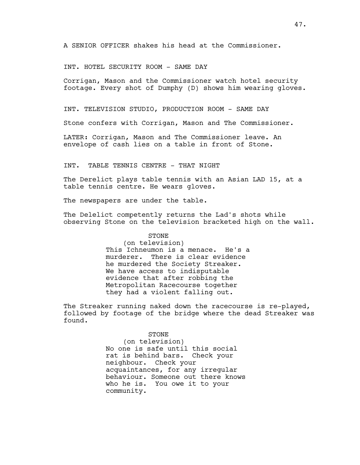A SENIOR OFFICER shakes his head at the Commissioner.

INT. HOTEL SECURITY ROOM - SAME DAY

Corrigan, Mason and the Commissioner watch hotel security footage. Every shot of Dumphy (D) shows him wearing gloves.

INT. TELEVISION STUDIO, PRODUCTION ROOM - SAME DAY

Stone confers with Corrigan, Mason and The Commissioner.

LATER: Corrigan, Mason and The Commissioner leave. An envelope of cash lies on a table in front of Stone.

INT. TABLE TENNIS CENTRE - THAT NIGHT

The Derelict plays table tennis with an Asian LAD 15, at a table tennis centre. He wears gloves.

The newspapers are under the table.

The Delelict competently returns the Lad's shots while observing Stone on the television bracketed high on the wall.

#### STONE

(on television) This Ichneumon is a menace. He's a murderer. There is clear evidence he murdered the Society Streaker. We have access to indisputable evidence that after robbing the Metropolitan Racecourse together they had a violent falling out.

The Streaker running naked down the racecourse is re-played, followed by footage of the bridge where the dead Streaker was found.

#### STONE

(on television) No one is safe until this social rat is behind bars. Check your neighbour. Check your acquaintances, for any irregular behaviour. Someone out there knows who he is. You owe it to your community.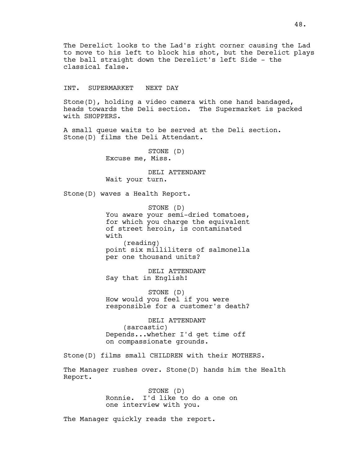The Derelict looks to the Lad's right corner causing the Lad to move to his left to block his shot, but the Derelict plays the ball straight down the Derelict's left Side - the classical false.

#### INT. SUPERMARKET NEXT DAY

Stone(D), holding a video camera with one hand bandaged, heads towards the Deli section. The Supermarket is packed with SHOPPERS.

A small queue waits to be served at the Deli section. Stone(D) films the Deli Attendant.

> STONE (D) Excuse me, Miss.

DELI ATTENDANT Wait your turn.

Stone(D) waves a Health Report.

STONE (D) You aware your semi-dried tomatoes, for which you charge the equivalent of street heroin, is contaminated with (reading) point six milliliters of salmonella per one thousand units?

DELI ATTENDANT Say that in English!

STONE (D) How would you feel if you were responsible for a customer's death?

DELI ATTENDANT (sarcastic) Depends...whether I'd get time off on compassionate grounds.

Stone(D) films small CHILDREN with their MOTHERS.

The Manager rushes over. Stone(D) hands him the Health Report.

> STONE (D) Ronnie. I'd like to do a one on one interview with you.

The Manager quickly reads the report.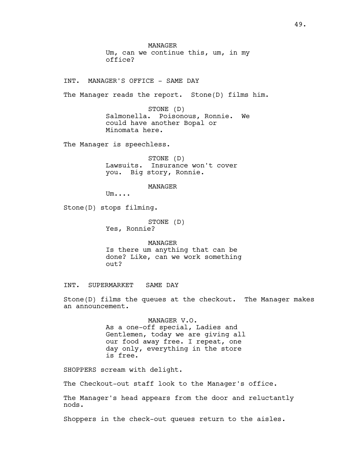MANAGER Um, can we continue this, um, in my office?

INT. MANAGER'S OFFICE - SAME DAY

The Manager reads the report. Stone(D) films him.

STONE (D) Salmonella. Poisonous, Ronnie. We could have another Bopal or Minomata here.

The Manager is speechless.

STONE (D) Lawsuits. Insurance won't cover you. Big story, Ronnie.

MANAGER

Um....

Stone(D) stops filming.

STONE (D) Yes, Ronnie?

MANAGER Is there um anything that can be done? Like, can we work something out?

INT. SUPERMARKET SAME DAY

Stone(D) films the queues at the checkout. The Manager makes an announcement.

> MANAGER V.O. As a one-off special, Ladies and Gentlemen, today we are giving all our food away free. I repeat, one day only, everything in the store is free.

SHOPPERS scream with delight.

The Checkout-out staff look to the Manager's office.

The Manager's head appears from the door and reluctantly nods.

Shoppers in the check-out queues return to the aisles.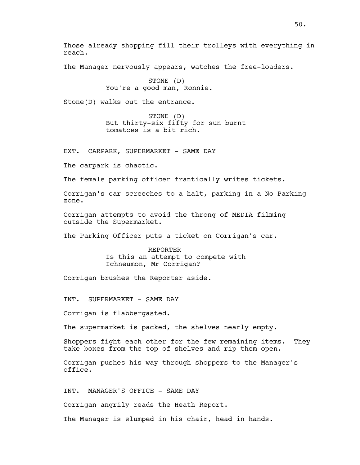Those already shopping fill their trolleys with everything in reach.

The Manager nervously appears, watches the free-loaders.

STONE (D) You're a good man, Ronnie.

Stone(D) walks out the entrance.

STONE (D) But thirty-six fifty for sun burnt tomatoes is a bit rich.

EXT. CARPARK, SUPERMARKET - SAME DAY

The carpark is chaotic.

The female parking officer frantically writes tickets.

Corrigan's car screeches to a halt, parking in a No Parking zone.

Corrigan attempts to avoid the throng of MEDIA filming outside the Supermarket.

The Parking Officer puts a ticket on Corrigan's car.

REPORTER Is this an attempt to compete with Ichneumon, Mr Corrigan?

Corrigan brushes the Reporter aside.

INT. SUPERMARKET - SAME DAY

Corrigan is flabbergasted.

The supermarket is packed, the shelves nearly empty.

Shoppers fight each other for the few remaining items. They take boxes from the top of shelves and rip them open.

Corrigan pushes his way through shoppers to the Manager's office.

INT. MANAGER'S OFFICE - SAME DAY

Corrigan angrily reads the Heath Report.

The Manager is slumped in his chair, head in hands.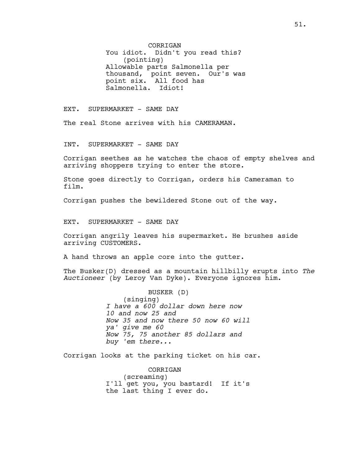**CORRIGAN** You idiot. Didn't you read this? (pointing) Allowable parts Salmonella per thousand, point seven. Our's was point six. All food has Salmonella. Idiot!

EXT. SUPERMARKET - SAME DAY

The real Stone arrives with his CAMERAMAN.

INT. SUPERMARKET - SAME DAY

Corrigan seethes as he watches the chaos of empty shelves and arriving shoppers trying to enter the store.

Stone goes directly to Corrigan, orders his Cameraman to film.

Corrigan pushes the bewildered Stone out of the way.

EXT. SUPERMARKET - SAME DAY

Corrigan angrily leaves his supermarket. He brushes aside arriving CUSTOMERS.

A hand throws an apple core into the gutter.

The Busker(D) dressed as a mountain hillbilly erupts into The Auctioneer (by Leroy Van Dyke). Everyone ignores him.

> BUSKER (D) (singing) I have a 600 dollar down here now 10 and now 25 and Now 35 and now there 50 now 60 will ya' give me 60 Now 75, 75 another 85 dollars and buy 'em there...

Corrigan looks at the parking ticket on his car.

**CORRIGAN** (screaming) I'll get you, you bastard! If it's the last thing I ever do.